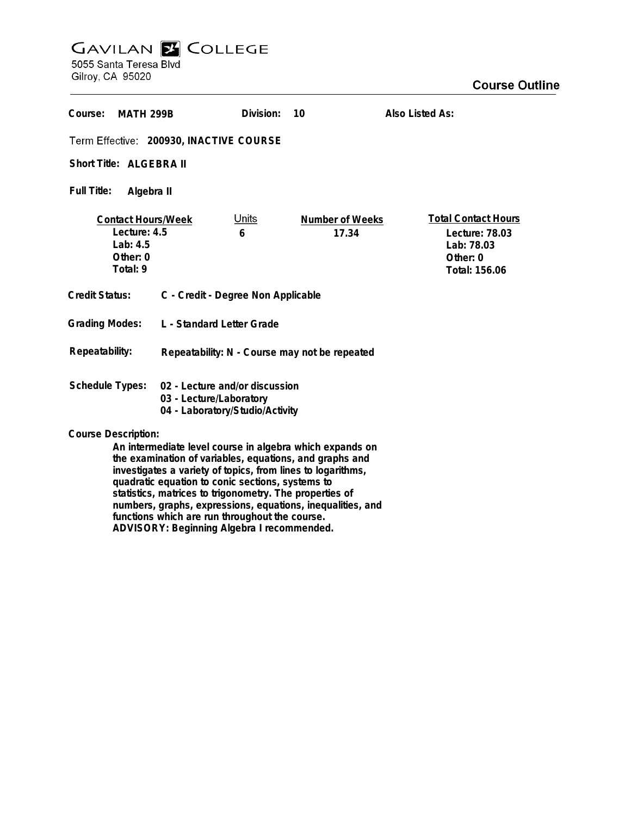## **GAVILAN E COLLEGE**<br>5055 Santa Teresa Blvd

Gilroy, CA 95020

| Course:<br><b>MATH 299B</b>                                                                                                                                                                                                                                          |                                                                                              | Division:         | 10                       | Also Listed As:                                                                         |
|----------------------------------------------------------------------------------------------------------------------------------------------------------------------------------------------------------------------------------------------------------------------|----------------------------------------------------------------------------------------------|-------------------|--------------------------|-----------------------------------------------------------------------------------------|
| Term Effective: 200930, INACTIVE COURSE                                                                                                                                                                                                                              |                                                                                              |                   |                          |                                                                                         |
| Short Title: ALGEBRA II                                                                                                                                                                                                                                              |                                                                                              |                   |                          |                                                                                         |
| Full Title:<br>Algebra II                                                                                                                                                                                                                                            |                                                                                              |                   |                          |                                                                                         |
| <b>Contact Hours/Week</b><br>Lecture: 4.5<br>$1$ ab: $4.5$<br>Other: 0<br>Total: 9                                                                                                                                                                                   |                                                                                              | <u>Units</u><br>6 | Number of Weeks<br>17.34 | <b>Total Contact Hours</b><br>Lecture: 78.03<br>Lab: 78.03<br>Other: 0<br>Total: 156.06 |
| Credit Status:                                                                                                                                                                                                                                                       | C - Credit - Degree Non Applicable                                                           |                   |                          |                                                                                         |
| <b>Grading Modes:</b><br>L - Standard Letter Grade                                                                                                                                                                                                                   |                                                                                              |                   |                          |                                                                                         |
| Repeatability:                                                                                                                                                                                                                                                       | Repeatability: N - Course may not be repeated                                                |                   |                          |                                                                                         |
| <b>Schedule Types:</b>                                                                                                                                                                                                                                               | 02 - Lecture and/or discussion<br>03 - Lecture/Laboratory<br>04 - Laboratory/Studio/Activity |                   |                          |                                                                                         |
| <b>Course Description:</b><br>An intermediate level course in algebra which expands on<br>the examination of variables, equations, and graphs and<br>investigates a variety of topics, from lines to logarithms,<br>quadratic equation to conic sections, systems to |                                                                                              |                   |                          |                                                                                         |

**functions which are run throughout the course. ADVISORY: Beginning Algebra I recommended.**

**statistics, matrices to trigonometry. The properties of numbers, graphs, expressions, equations, inequalities, and**